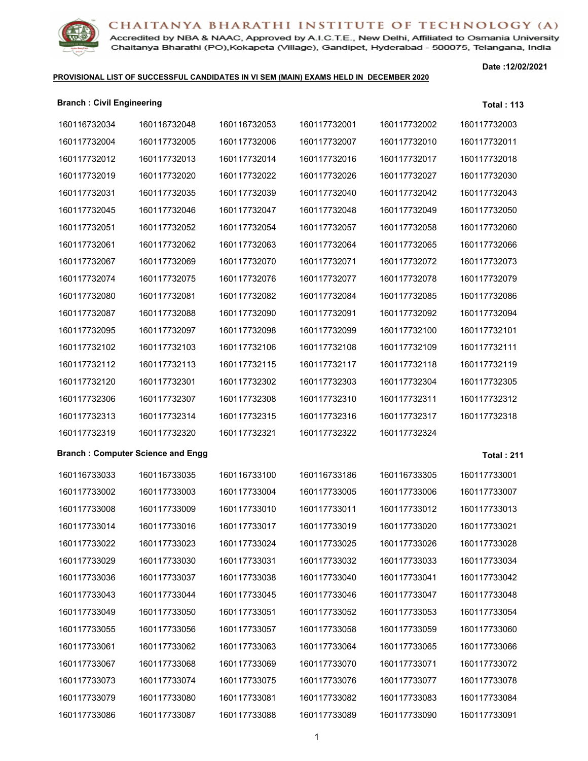Accredited by NBA & NAAC, Approved by A.I.C.T.E., New Delhi, Affiliated to Osmania University Chaitanya Bharathi (PO), Kokapeta (Village), Gandipet, Hyderabad - 500075, Telangana, India

### **PROVISIONAL LIST OF SUCCESSFUL CANDIDATES IN VI SEM (MAIN) EXAMS HELD IN DECEMBER 2020**

| <b>Branch: Civil Engineering</b> |                                          |              |              |              | <b>Total: 113</b> |
|----------------------------------|------------------------------------------|--------------|--------------|--------------|-------------------|
| 160116732034                     | 160116732048                             | 160116732053 | 160117732001 | 160117732002 | 160117732003      |
| 160117732004                     | 160117732005                             | 160117732006 | 160117732007 | 160117732010 | 160117732011      |
| 160117732012                     | 160117732013                             | 160117732014 | 160117732016 | 160117732017 | 160117732018      |
| 160117732019                     | 160117732020                             | 160117732022 | 160117732026 | 160117732027 | 160117732030      |
| 160117732031                     | 160117732035                             | 160117732039 | 160117732040 | 160117732042 | 160117732043      |
| 160117732045                     | 160117732046                             | 160117732047 | 160117732048 | 160117732049 | 160117732050      |
| 160117732051                     | 160117732052                             | 160117732054 | 160117732057 | 160117732058 | 160117732060      |
| 160117732061                     | 160117732062                             | 160117732063 | 160117732064 | 160117732065 | 160117732066      |
| 160117732067                     | 160117732069                             | 160117732070 | 160117732071 | 160117732072 | 160117732073      |
| 160117732074                     | 160117732075                             | 160117732076 | 160117732077 | 160117732078 | 160117732079      |
| 160117732080                     | 160117732081                             | 160117732082 | 160117732084 | 160117732085 | 160117732086      |
| 160117732087                     | 160117732088                             | 160117732090 | 160117732091 | 160117732092 | 160117732094      |
| 160117732095                     | 160117732097                             | 160117732098 | 160117732099 | 160117732100 | 160117732101      |
| 160117732102                     | 160117732103                             | 160117732106 | 160117732108 | 160117732109 | 160117732111      |
| 160117732112                     | 160117732113                             | 160117732115 | 160117732117 | 160117732118 | 160117732119      |
| 160117732120                     | 160117732301                             | 160117732302 | 160117732303 | 160117732304 | 160117732305      |
| 160117732306                     | 160117732307                             | 160117732308 | 160117732310 | 160117732311 | 160117732312      |
| 160117732313                     | 160117732314                             | 160117732315 | 160117732316 | 160117732317 | 160117732318      |
| 160117732319                     | 160117732320                             | 160117732321 | 160117732322 | 160117732324 |                   |
|                                  | <b>Branch: Computer Science and Engg</b> |              |              |              | <b>Total: 211</b> |
| 160116733033                     | 160116733035                             | 160116733100 | 160116733186 | 160116733305 | 160117733001      |
| 160117733002                     | 160117733003                             | 160117733004 | 160117733005 | 160117733006 | 160117733007      |
| 160117733008                     | 160117733009                             | 160117733010 | 160117733011 | 160117733012 | 160117733013      |
| 160117733014                     | 160117733016                             | 160117733017 | 160117733019 | 160117733020 | 160117733021      |
| 160117733022                     | 160117733023                             | 160117733024 | 160117733025 | 160117733026 | 160117733028      |
| 160117733029                     | 160117733030                             | 160117733031 | 160117733032 | 160117733033 | 160117733034      |
| 160117733036                     | 160117733037                             | 160117733038 | 160117733040 | 160117733041 | 160117733042      |
| 160117733043                     | 160117733044                             | 160117733045 | 160117733046 | 160117733047 | 160117733048      |
| 160117733049                     | 160117733050                             | 160117733051 | 160117733052 | 160117733053 | 160117733054      |
| 160117733055                     | 160117733056                             | 160117733057 | 160117733058 | 160117733059 | 160117733060      |
| 160117733061                     | 160117733062                             | 160117733063 | 160117733064 | 160117733065 | 160117733066      |
| 160117733067                     | 160117733068                             | 160117733069 | 160117733070 | 160117733071 | 160117733072      |
| 160117733073                     | 160117733074                             | 160117733075 | 160117733076 | 160117733077 | 160117733078      |
| 160117733079                     | 160117733080                             | 160117733081 | 160117733082 | 160117733083 | 160117733084      |
| 160117733086                     | 160117733087                             | 160117733088 | 160117733089 | 160117733090 | 160117733091      |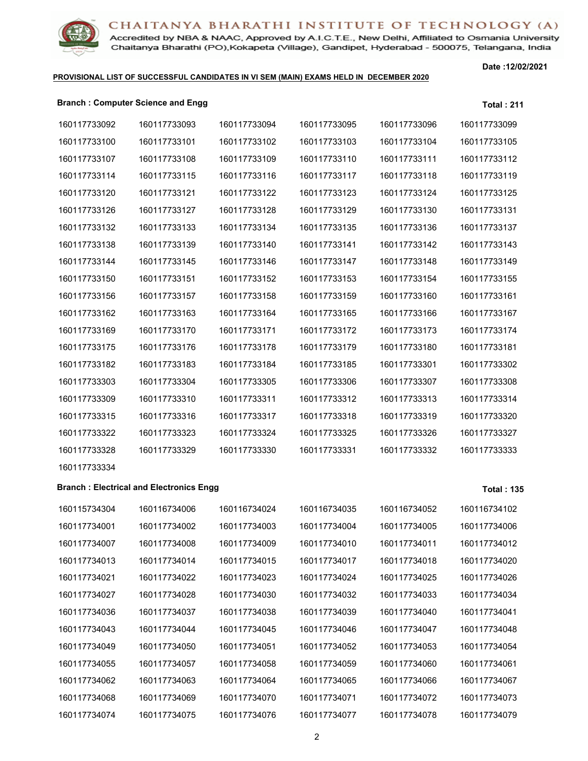

Accredited by NBA & NAAC, Approved by A.I.C.T.E., New Delhi, Affiliated to Osmania University Chaitanya Bharathi (PO), Kokapeta (Village), Gandipet, Hyderabad - 500075, Telangana, India

### **PROVISIONAL LIST OF SUCCESSFUL CANDIDATES IN VI SEM (MAIN) EXAMS HELD IN DECEMBER 2020**

**Date :12/02/2021**

### **Branch : Computer Science and Engg Total : 211**

| 160117733092 | 160117733093                                   | 160117733094 | 160117733095 | 160117733096 | 160117733099      |
|--------------|------------------------------------------------|--------------|--------------|--------------|-------------------|
| 160117733100 | 160117733101                                   | 160117733102 | 160117733103 | 160117733104 | 160117733105      |
| 160117733107 | 160117733108                                   | 160117733109 | 160117733110 | 160117733111 | 160117733112      |
| 160117733114 | 160117733115                                   | 160117733116 | 160117733117 | 160117733118 | 160117733119      |
| 160117733120 | 160117733121                                   | 160117733122 | 160117733123 | 160117733124 | 160117733125      |
| 160117733126 | 160117733127                                   | 160117733128 | 160117733129 | 160117733130 | 160117733131      |
| 160117733132 | 160117733133                                   | 160117733134 | 160117733135 | 160117733136 | 160117733137      |
| 160117733138 | 160117733139                                   | 160117733140 | 160117733141 | 160117733142 | 160117733143      |
| 160117733144 | 160117733145                                   | 160117733146 | 160117733147 | 160117733148 | 160117733149      |
| 160117733150 | 160117733151                                   | 160117733152 | 160117733153 | 160117733154 | 160117733155      |
| 160117733156 | 160117733157                                   | 160117733158 | 160117733159 | 160117733160 | 160117733161      |
| 160117733162 | 160117733163                                   | 160117733164 | 160117733165 | 160117733166 | 160117733167      |
| 160117733169 | 160117733170                                   | 160117733171 | 160117733172 | 160117733173 | 160117733174      |
| 160117733175 | 160117733176                                   | 160117733178 | 160117733179 | 160117733180 | 160117733181      |
| 160117733182 | 160117733183                                   | 160117733184 | 160117733185 | 160117733301 | 160117733302      |
| 160117733303 | 160117733304                                   | 160117733305 | 160117733306 | 160117733307 | 160117733308      |
| 160117733309 | 160117733310                                   | 160117733311 | 160117733312 | 160117733313 | 160117733314      |
| 160117733315 | 160117733316                                   | 160117733317 | 160117733318 | 160117733319 | 160117733320      |
| 160117733322 | 160117733323                                   | 160117733324 | 160117733325 | 160117733326 | 160117733327      |
| 160117733328 | 160117733329                                   | 160117733330 | 160117733331 | 160117733332 | 160117733333      |
| 160117733334 |                                                |              |              |              |                   |
|              | <b>Branch: Electrical and Electronics Engg</b> |              |              |              | <b>Total: 135</b> |
| 160115734304 | 160116734006                                   | 160116734024 | 160116734035 | 160116734052 | 160116734102      |
| 160117734001 | 160117734002                                   | 160117734003 | 160117734004 | 160117734005 | 160117734006      |
| 160117734007 | 160117734008                                   | 160117734009 | 160117734010 | 160117734011 | 160117734012      |
| 160117734013 | 160117734014                                   | 160117734015 | 160117734017 | 160117734018 | 160117734020      |
| 160117734021 | 160117734022                                   | 160117734023 | 160117734024 | 160117734025 | 160117734026      |
| 160117734027 | 160117734028                                   | 160117734030 | 160117734032 | 160117734033 | 160117734034      |
| 160117734036 | 160117734037                                   | 160117734038 | 160117734039 | 160117734040 | 160117734041      |
| 160117734043 | 160117734044                                   | 160117734045 | 160117734046 | 160117734047 | 160117734048      |
| 160117734049 | 160117734050                                   | 160117734051 | 160117734052 | 160117734053 | 160117734054      |
| 160117734055 | 160117734057                                   | 160117734058 | 160117734059 | 160117734060 | 160117734061      |
| 160117734062 | 160117734063                                   | 160117734064 | 160117734065 | 160117734066 | 160117734067      |
| 160117734068 | 160117734069                                   | 160117734070 | 160117734071 | 160117734072 | 160117734073      |
| 160117734074 | 160117734075                                   | 160117734076 | 160117734077 | 160117734078 | 160117734079      |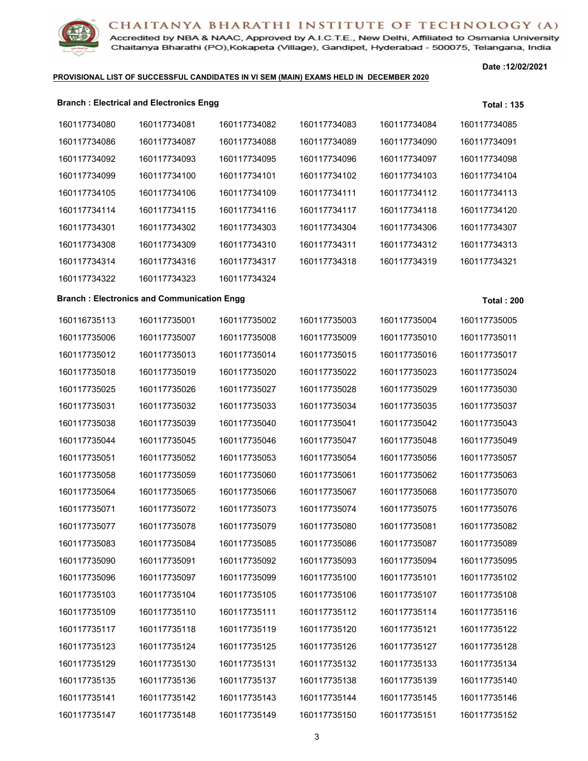Accredited by NBA & NAAC, Approved by A.I.C.T.E., New Delhi, Affiliated to Osmania University Chaitanya Bharathi (PO), Kokapeta (Village), Gandipet, Hyderabad - 500075, Telangana, India

### **PROVISIONAL LIST OF SUCCESSFUL CANDIDATES IN VI SEM (MAIN) EXAMS HELD IN DECEMBER 2020**

|              | <b>Branch: Electrical and Electronics Enggless</b> |              |              |              | <b>Total: 135</b> |
|--------------|----------------------------------------------------|--------------|--------------|--------------|-------------------|
| 160117734080 | 160117734081                                       | 160117734082 | 160117734083 | 160117734084 | 160117734085      |
| 160117734086 | 160117734087                                       | 160117734088 | 160117734089 | 160117734090 | 160117734091      |
| 160117734092 | 160117734093                                       | 160117734095 | 160117734096 | 160117734097 | 160117734098      |
| 160117734099 | 160117734100                                       | 160117734101 | 160117734102 | 160117734103 | 160117734104      |
| 160117734105 | 160117734106                                       | 160117734109 | 160117734111 | 160117734112 | 160117734113      |
| 160117734114 | 160117734115                                       | 160117734116 | 160117734117 | 160117734118 | 160117734120      |
| 160117734301 | 160117734302                                       | 160117734303 | 160117734304 | 160117734306 | 160117734307      |
| 160117734308 | 160117734309                                       | 160117734310 | 160117734311 | 160117734312 | 160117734313      |
| 160117734314 | 160117734316                                       | 160117734317 | 160117734318 | 160117734319 | 160117734321      |
| 160117734322 | 160117734323                                       | 160117734324 |              |              |                   |
|              | <b>Branch: Electronics and Communication Engg</b>  |              |              |              | <b>Total: 200</b> |
| 160116735113 | 160117735001                                       | 160117735002 | 160117735003 | 160117735004 | 160117735005      |
| 160117735006 | 160117735007                                       | 160117735008 | 160117735009 | 160117735010 | 160117735011      |
| 160117735012 | 160117735013                                       | 160117735014 | 160117735015 | 160117735016 | 160117735017      |
| 160117735018 | 160117735019                                       | 160117735020 | 160117735022 | 160117735023 | 160117735024      |
| 160117735025 | 160117735026                                       | 160117735027 | 160117735028 | 160117735029 | 160117735030      |
| 160117735031 | 160117735032                                       | 160117735033 | 160117735034 | 160117735035 | 160117735037      |
| 160117735038 | 160117735039                                       | 160117735040 | 160117735041 | 160117735042 | 160117735043      |
| 160117735044 | 160117735045                                       | 160117735046 | 160117735047 | 160117735048 | 160117735049      |
| 160117735051 | 160117735052                                       | 160117735053 | 160117735054 | 160117735056 | 160117735057      |
| 160117735058 | 160117735059                                       | 160117735060 | 160117735061 | 160117735062 | 160117735063      |
| 160117735064 | 160117735065                                       | 160117735066 | 160117735067 | 160117735068 | 160117735070      |
| 160117735071 | 160117735072                                       | 160117735073 | 160117735074 | 160117735075 | 160117735076      |
| 160117735077 | 160117735078                                       | 160117735079 | 160117735080 | 160117735081 | 160117735082      |
| 160117735083 | 160117735084                                       | 160117735085 | 160117735086 | 160117735087 | 160117735089      |
| 160117735090 | 160117735091                                       | 160117735092 | 160117735093 | 160117735094 | 160117735095      |
| 160117735096 | 160117735097                                       | 160117735099 | 160117735100 | 160117735101 | 160117735102      |
| 160117735103 | 160117735104                                       | 160117735105 | 160117735106 | 160117735107 | 160117735108      |
| 160117735109 | 160117735110                                       | 160117735111 | 160117735112 | 160117735114 | 160117735116      |
| 160117735117 | 160117735118                                       | 160117735119 | 160117735120 | 160117735121 | 160117735122      |
| 160117735123 | 160117735124                                       | 160117735125 | 160117735126 | 160117735127 | 160117735128      |
| 160117735129 | 160117735130                                       | 160117735131 | 160117735132 | 160117735133 | 160117735134      |
| 160117735135 | 160117735136                                       | 160117735137 | 160117735138 | 160117735139 | 160117735140      |
| 160117735141 | 160117735142                                       | 160117735143 | 160117735144 | 160117735145 | 160117735146      |
| 160117735147 | 160117735148                                       | 160117735149 | 160117735150 | 160117735151 | 160117735152      |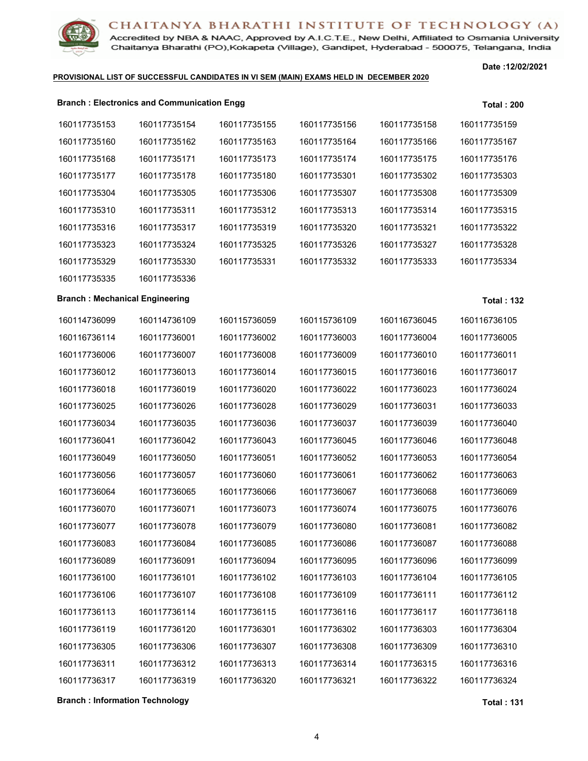

Accredited by NBA & NAAC, Approved by A.I.C.T.E., New Delhi, Affiliated to Osmania University Chaitanya Bharathi (PO), Kokapeta (Village), Gandipet, Hyderabad - 500075, Telangana, India

### **PROVISIONAL LIST OF SUCCESSFUL CANDIDATES IN VI SEM (MAIN) EXAMS HELD IN DECEMBER 2020**

**Date :12/02/2021**

|                                       | <b>Branch: Electronics and Communication Engg</b> |              |              |              | <b>Total: 200</b> |
|---------------------------------------|---------------------------------------------------|--------------|--------------|--------------|-------------------|
| 160117735153                          | 160117735154                                      | 160117735155 | 160117735156 | 160117735158 | 160117735159      |
| 160117735160                          | 160117735162                                      | 160117735163 | 160117735164 | 160117735166 | 160117735167      |
| 160117735168                          | 160117735171                                      | 160117735173 | 160117735174 | 160117735175 | 160117735176      |
| 160117735177                          | 160117735178                                      | 160117735180 | 160117735301 | 160117735302 | 160117735303      |
| 160117735304                          | 160117735305                                      | 160117735306 | 160117735307 | 160117735308 | 160117735309      |
| 160117735310                          | 160117735311                                      | 160117735312 | 160117735313 | 160117735314 | 160117735315      |
| 160117735316                          | 160117735317                                      | 160117735319 | 160117735320 | 160117735321 | 160117735322      |
| 160117735323                          | 160117735324                                      | 160117735325 | 160117735326 | 160117735327 | 160117735328      |
| 160117735329                          | 160117735330                                      | 160117735331 | 160117735332 | 160117735333 | 160117735334      |
| 160117735335                          | 160117735336                                      |              |              |              |                   |
| <b>Branch: Mechanical Engineering</b> |                                                   |              |              |              | <b>Total: 132</b> |
| 160114736099                          | 160114736109                                      | 160115736059 | 160115736109 | 160116736045 | 160116736105      |
| 160116736114                          | 160117736001                                      | 160117736002 | 160117736003 | 160117736004 | 160117736005      |
| 160117736006                          | 160117736007                                      | 160117736008 | 160117736009 | 160117736010 | 160117736011      |
| 160117736012                          | 160117736013                                      | 160117736014 | 160117736015 | 160117736016 | 160117736017      |
| 160117736018                          | 160117736019                                      | 160117736020 | 160117736022 | 160117736023 | 160117736024      |
| 160117736025                          | 160117736026                                      | 160117736028 | 160117736029 | 160117736031 | 160117736033      |
| 160117736034                          | 160117736035                                      | 160117736036 | 160117736037 | 160117736039 | 160117736040      |
| 160117736041                          | 160117736042                                      | 160117736043 | 160117736045 | 160117736046 | 160117736048      |
| 160117736049                          | 160117736050                                      | 160117736051 | 160117736052 | 160117736053 | 160117736054      |
| 160117736056                          | 160117736057                                      | 160117736060 | 160117736061 | 160117736062 | 160117736063      |
| 160117736064                          | 160117736065                                      | 160117736066 | 160117736067 | 160117736068 | 160117736069      |
| 160117736070                          | 160117736071                                      | 160117736073 | 160117736074 | 160117736075 | 160117736076      |
| 160117736077                          | 160117736078                                      | 160117736079 | 160117736080 | 160117736081 | 160117736082      |
| 160117736083                          | 160117736084                                      | 160117736085 | 160117736086 | 160117736087 | 160117736088      |
| 160117736089                          | 160117736091                                      | 160117736094 | 160117736095 | 160117736096 | 160117736099      |
| 160117736100                          | 160117736101                                      | 160117736102 | 160117736103 | 160117736104 | 160117736105      |
| 160117736106                          | 160117736107                                      | 160117736108 | 160117736109 | 160117736111 | 160117736112      |
| 160117736113                          | 160117736114                                      | 160117736115 | 160117736116 | 160117736117 | 160117736118      |
| 160117736119                          | 160117736120                                      | 160117736301 | 160117736302 | 160117736303 | 160117736304      |
| 160117736305                          | 160117736306                                      | 160117736307 | 160117736308 | 160117736309 | 160117736310      |
| 160117736311                          | 160117736312                                      | 160117736313 | 160117736314 | 160117736315 | 160117736316      |
| 160117736317                          | 160117736319                                      | 160117736320 | 160117736321 | 160117736322 | 160117736324      |

**Branch : Information Technology Total : 131**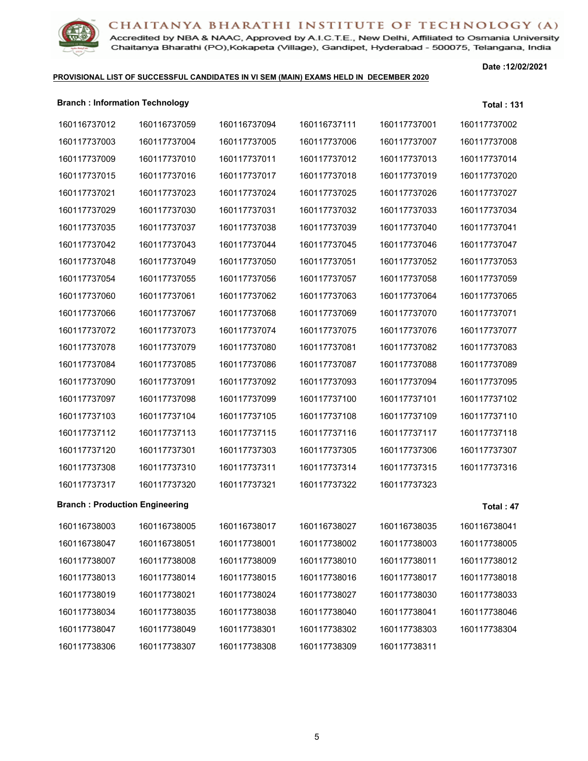

Accredited by NBA & NAAC, Approved by A.I.C.T.E., New Delhi, Affiliated to Osmania University Chaitanya Bharathi (PO), Kokapeta (Village), Gandipet, Hyderabad - 500075, Telangana, India

### **PROVISIONAL LIST OF SUCCESSFUL CANDIDATES IN VI SEM (MAIN) EXAMS HELD IN DECEMBER 2020**

| <b>Branch: Information Technology</b> |              |              |              |              | <b>Total: 131</b> |
|---------------------------------------|--------------|--------------|--------------|--------------|-------------------|
| 160116737012                          | 160116737059 | 160116737094 | 160116737111 | 160117737001 | 160117737002      |
| 160117737003                          | 160117737004 | 160117737005 | 160117737006 | 160117737007 | 160117737008      |
| 160117737009                          | 160117737010 | 160117737011 | 160117737012 | 160117737013 | 160117737014      |
| 160117737015                          | 160117737016 | 160117737017 | 160117737018 | 160117737019 | 160117737020      |
| 160117737021                          | 160117737023 | 160117737024 | 160117737025 | 160117737026 | 160117737027      |
| 160117737029                          | 160117737030 | 160117737031 | 160117737032 | 160117737033 | 160117737034      |
| 160117737035                          | 160117737037 | 160117737038 | 160117737039 | 160117737040 | 160117737041      |
| 160117737042                          | 160117737043 | 160117737044 | 160117737045 | 160117737046 | 160117737047      |
| 160117737048                          | 160117737049 | 160117737050 | 160117737051 | 160117737052 | 160117737053      |
| 160117737054                          | 160117737055 | 160117737056 | 160117737057 | 160117737058 | 160117737059      |
| 160117737060                          | 160117737061 | 160117737062 | 160117737063 | 160117737064 | 160117737065      |
| 160117737066                          | 160117737067 | 160117737068 | 160117737069 | 160117737070 | 160117737071      |
| 160117737072                          | 160117737073 | 160117737074 | 160117737075 | 160117737076 | 160117737077      |
| 160117737078                          | 160117737079 | 160117737080 | 160117737081 | 160117737082 | 160117737083      |
| 160117737084                          | 160117737085 | 160117737086 | 160117737087 | 160117737088 | 160117737089      |
| 160117737090                          | 160117737091 | 160117737092 | 160117737093 | 160117737094 | 160117737095      |
| 160117737097                          | 160117737098 | 160117737099 | 160117737100 | 160117737101 | 160117737102      |
| 160117737103                          | 160117737104 | 160117737105 | 160117737108 | 160117737109 | 160117737110      |
| 160117737112                          | 160117737113 | 160117737115 | 160117737116 | 160117737117 | 160117737118      |
| 160117737120                          | 160117737301 | 160117737303 | 160117737305 | 160117737306 | 160117737307      |
| 160117737308                          | 160117737310 | 160117737311 | 160117737314 | 160117737315 | 160117737316      |
| 160117737317                          | 160117737320 | 160117737321 | 160117737322 | 160117737323 |                   |
| <b>Branch: Production Engineering</b> |              |              |              |              | Total: 47         |
| 160116738003                          | 160116738005 | 160116738017 | 160116738027 | 160116738035 | 160116738041      |
| 160116738047                          | 160116738051 | 160117738001 | 160117738002 | 160117738003 | 160117738005      |
| 160117738007                          | 160117738008 | 160117738009 | 160117738010 | 160117738011 | 160117738012      |
| 160117738013                          | 160117738014 | 160117738015 | 160117738016 | 160117738017 | 160117738018      |
| 160117738019                          | 160117738021 | 160117738024 | 160117738027 | 160117738030 | 160117738033      |
| 160117738034                          | 160117738035 | 160117738038 | 160117738040 | 160117738041 | 160117738046      |
| 160117738047                          | 160117738049 | 160117738301 | 160117738302 | 160117738303 | 160117738304      |
| 160117738306                          | 160117738307 | 160117738308 | 160117738309 | 160117738311 |                   |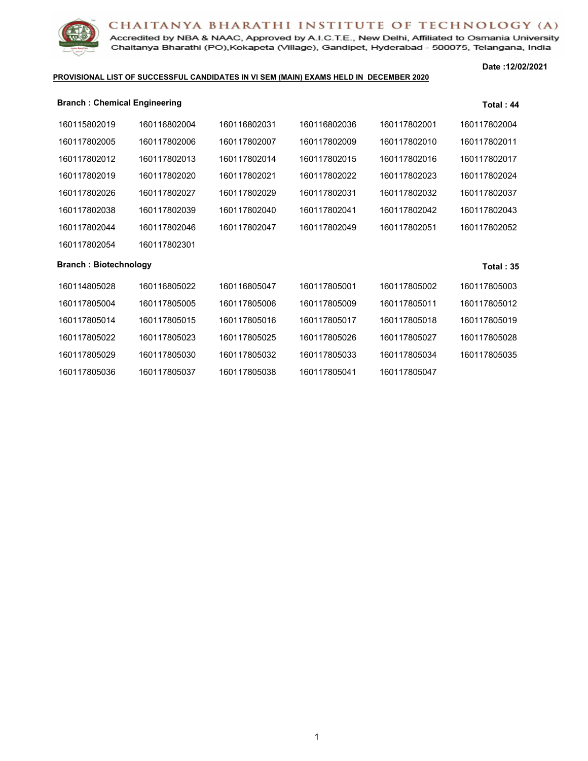

Accredited by NBA & NAAC, Approved by A.I.C.T.E., New Delhi, Affiliated to Osmania University Chaitanya Bharathi (PO), Kokapeta (Village), Gandipet, Hyderabad - 500075, Telangana, India

### **PROVISIONAL LIST OF SUCCESSFUL CANDIDATES IN VI SEM (MAIN) EXAMS HELD IN DECEMBER 2020**

| <b>Branch: Chemical Engineering</b> |              |              |              |              | Total: 44    |
|-------------------------------------|--------------|--------------|--------------|--------------|--------------|
| 160115802019                        | 160116802004 | 160116802031 | 160116802036 | 160117802001 | 160117802004 |
| 160117802005                        | 160117802006 | 160117802007 | 160117802009 | 160117802010 | 160117802011 |
| 160117802012                        | 160117802013 | 160117802014 | 160117802015 | 160117802016 | 160117802017 |
| 160117802019                        | 160117802020 | 160117802021 | 160117802022 | 160117802023 | 160117802024 |
| 160117802026                        | 160117802027 | 160117802029 | 160117802031 | 160117802032 | 160117802037 |
| 160117802038                        | 160117802039 | 160117802040 | 160117802041 | 160117802042 | 160117802043 |
| 160117802044                        | 160117802046 | 160117802047 | 160117802049 | 160117802051 | 160117802052 |
| 160117802054                        | 160117802301 |              |              |              |              |
| <b>Branch: Biotechnology</b>        |              |              |              |              | Total: $35$  |
| 160114805028                        | 160116805022 | 160116805047 | 160117805001 | 160117805002 | 160117805003 |
| 160117805004                        | 160117805005 | 160117805006 | 160117805009 | 160117805011 | 160117805012 |
| 160117805014                        | 160117805015 | 160117805016 | 160117805017 | 160117805018 | 160117805019 |
| 160117805022                        | 160117805023 | 160117805025 | 160117805026 | 160117805027 | 160117805028 |
| 160117805029                        | 160117805030 | 160117805032 | 160117805033 | 160117805034 | 160117805035 |
| 160117805036                        | 160117805037 | 160117805038 | 160117805041 | 160117805047 |              |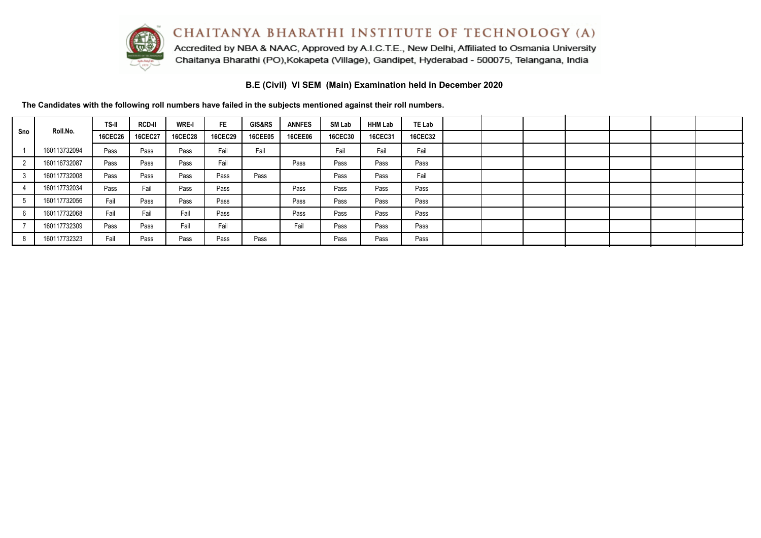

Accredited by NBA & NAAC, Approved by A.I.C.T.E., New Delhi, Affiliated to Osmania University Chaitanya Bharathi (PO), Kokapeta (Village), Gandipet, Hyderabad - 500075, Telangana, India

**B.E (Civil) VI SEM (Main) Examination held in December 2020**

|     |              | TS-II          | <b>RCD-II</b>  | <b>WRE-I</b>   | FE.            | <b>GIS&amp;RS</b> | <b>ANNFES</b>  | SM Lab         | <b>HHM Lab</b> | <b>TE Lab</b>  |  |  |  |  |
|-----|--------------|----------------|----------------|----------------|----------------|-------------------|----------------|----------------|----------------|----------------|--|--|--|--|
| Sno | Roll.No.     | <b>16CEC26</b> | <b>16CEC27</b> | <b>16CEC28</b> | <b>16CEC29</b> | <b>16CEE05</b>    | <b>16CEE06</b> | <b>16CEC30</b> | 16CEC31        | <b>16CEC32</b> |  |  |  |  |
|     | 160113732094 | Pass           | Pass           | Pass           | Fail           | Fail              |                | Fail           | Fail           | Fail           |  |  |  |  |
|     | 160116732087 | Pass           | Pass           | Pass           | Fail           |                   | Pass           | Pass           | Pass           | Pass           |  |  |  |  |
|     | 160117732008 | Pass           | Pass           | Pass           | Pass           | Pass              |                | Pass           | Pass           | Fail           |  |  |  |  |
|     | 160117732034 | Pass           | Fail           | Pass           | Pass           |                   | Pass           | Pass           | Pass           | Pass           |  |  |  |  |
|     | 160117732056 | Fail           | Pass           | Pass           | Pass           |                   | Pass           | Pass           | Pass           | Pass           |  |  |  |  |
|     | 160117732068 | Fail           | Fail           | Fail           | Pass           |                   | Pass           | Pass           | Pass           | Pass           |  |  |  |  |
|     | 160117732309 | Pass           | Pass           | Fail           | Fail           |                   | Fail           | Pass           | Pass           | Pass           |  |  |  |  |
|     | 160117732323 | Fail           | Pass           | Pass           | Pass           | Pass              |                | Pass           | Pass           | Pass           |  |  |  |  |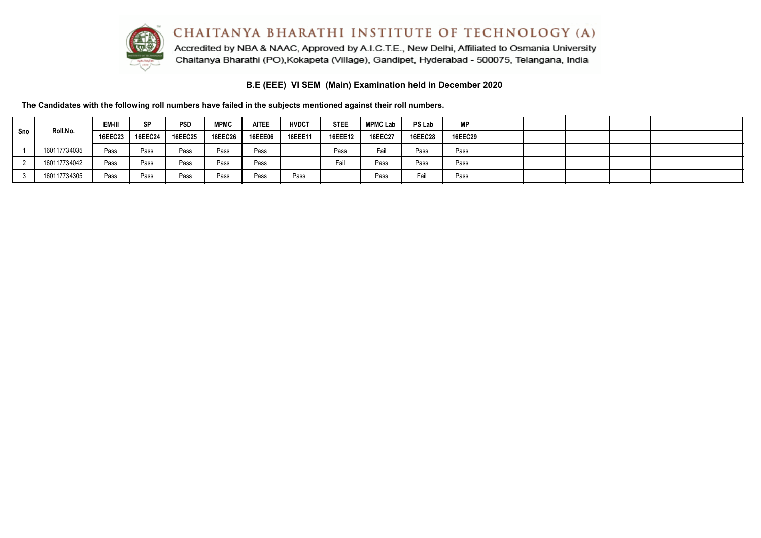

Accredited by NBA & NAAC, Approved by A.I.C.T.E., New Delhi, Affiliated to Osmania University Chaitanya Bharathi (PO), Kokapeta (Village), Gandipet, Hyderabad - 500075, Telangana, India

### **B.E (EEE) VI SEM (Main) Examination held in December 2020**

|     |              | EM-III  | <b>SP</b>      | <b>PSD</b>     | MPMC           | <b>AITEE</b>   | <b>HVDCT</b> | <b>STEE</b>    | <b>MPMC Lab</b> | PS Lab         | <b>MP</b>      |  |  |  |
|-----|--------------|---------|----------------|----------------|----------------|----------------|--------------|----------------|-----------------|----------------|----------------|--|--|--|
| Sno | Roll.No.     | 16EEC23 | <b>16EEC24</b> | <b>16EEC25</b> | <b>16EEC26</b> | <b>16EEE06</b> | 16EEE11      | <b>16EEE12</b> | <b>16EEC27</b>  | <b>16EEC28</b> | <b>16EEC29</b> |  |  |  |
|     | 160117734035 | Pass    | Pass           | Pass           | Pass           | Pass           |              | Pass           | Fail            | Pass           | Pass           |  |  |  |
|     | 160117734042 | Pass    | Pass           | Pass           | Pass           | Pass           |              | Fail           | Pass            | Pass           | Pass           |  |  |  |
|     | 160117734305 | Pass    | Pass           | Pass           | Pass           | Pass           | Pass         |                | Pass            | Fail           | Pass           |  |  |  |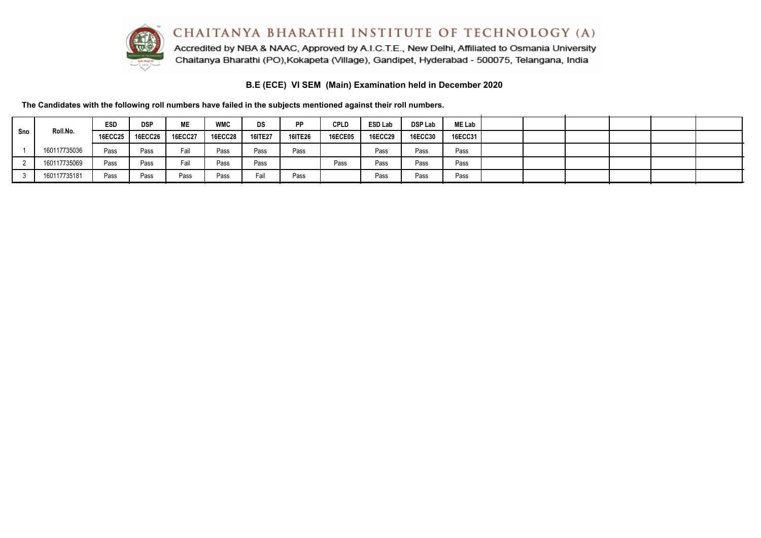

Accredited by NBA & NAAC, Approved by A.I.C.T.E., New Delhi, Affiliated to Osmania University Chaitanya Bharathi (PO), Kokapeta (Village), Gandipet, Hyderabad - 500075, Telangana, India

# **B.E (ECE) VI SEM (Main) Examination held in December 2020**

|     |              | <b>ESD</b> | <b>DSP</b>     | <b>ME</b>      | <b>WMC</b>     | DS      | PP             | <b>CPLD</b>    | <b>ESD Lab</b> | <b>DSP Lab</b> | <b>ME Lab</b>  |  |  |  |
|-----|--------------|------------|----------------|----------------|----------------|---------|----------------|----------------|----------------|----------------|----------------|--|--|--|
| Sno | Roll.No.     | 16ECC25    | <b>16ECC26</b> | <b>16ECC27</b> | <b>16ECC28</b> | 16ITE27 | <b>16ITE26</b> | <b>16ECE05</b> | <b>16ECC29</b> | <b>16ECC30</b> | <b>16ECC31</b> |  |  |  |
|     | 160117735036 | Pass       | Pass           | Fail           | Pass           | Pass    | Pass           |                | Pass           | Pass           | Pass           |  |  |  |
|     | 160117735069 | Pass       | Pass           | Fail           | Pass           | Pass    |                | Pass           | Pass           | Pass           | Pass           |  |  |  |
|     | 160117735181 | Pass       | Pass           | Pass           | Pass           | Fail    | Pass           |                | Pass           | Pass           | Pass           |  |  |  |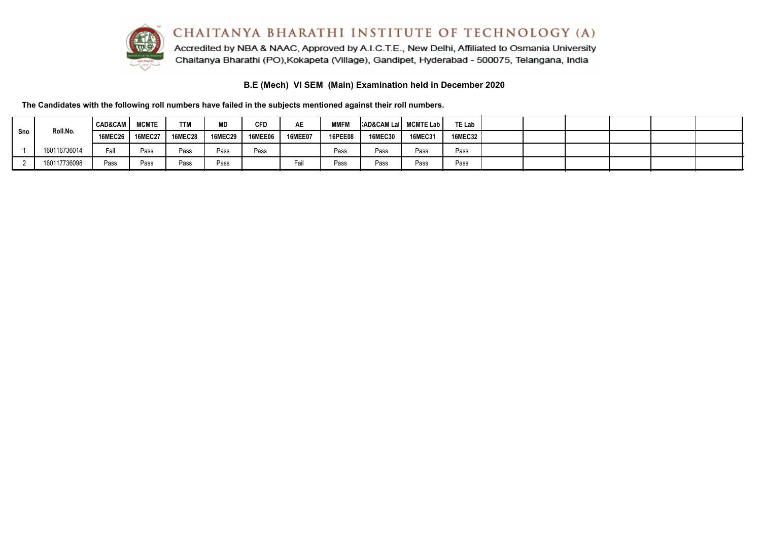

Accredited by NBA & NAAC, Approved by A.I.C.T.E., New Delhi, Affiliated to Osmania University Chaitanya Bharathi (PO), Kokapeta (Village), Gandipet, Hyderabad - 500075, Telangana, India

# **B.E (Mech) VI SEM (Main) Examination held in December 2020**

|     |              | <b>CAD&amp;CAM</b> I | <b>MCMTE</b>      | <b>TTM</b>     | <b>MD</b>      | <b>CFD</b>     | AE             | <b>MMFM</b>    | AD&CAM La   MCMTE Lab |                | TE Lab  |  |  |  |
|-----|--------------|----------------------|-------------------|----------------|----------------|----------------|----------------|----------------|-----------------------|----------------|---------|--|--|--|
| Sno | Roll.No.     |                      | 16MEC26   16MEC27 | <b>16MEC28</b> | <b>16MEC29</b> | <b>16MEE06</b> | <b>16MEE07</b> | <b>16PEE08</b> | <b>16MEC30</b>        | <b>16MEC31</b> | 16MEC32 |  |  |  |
|     | 160116736014 | Fail                 | Pass              | Pass           | Pass           | Pass           |                | Pass           | Pass                  | Pass           | Pass    |  |  |  |
|     | 160117736098 | Pass                 | Pass              | Pass           | Pass           |                | Fail           | Pass           | Pass                  | Pass           | Pass    |  |  |  |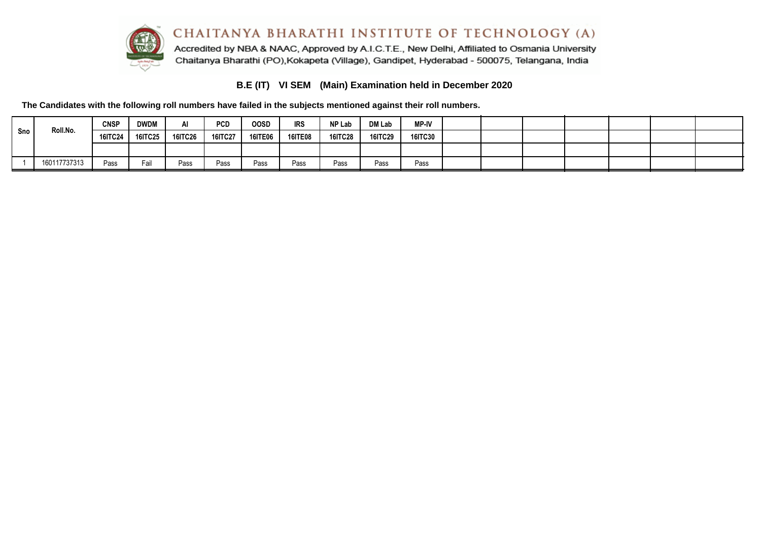

# **B.E (IT) VI SEM (Main) Examination held in December 2020**

|     | Roll.No.     | <b>CNSP</b>    | <b>DWDM</b> | AI             | <b>PCD</b>     | <b>OOSD</b>    | <b>IRS</b>     | NP Lab         | <b>DM Lab</b>  | <b>MP-IV</b>   |  |  |  |  |
|-----|--------------|----------------|-------------|----------------|----------------|----------------|----------------|----------------|----------------|----------------|--|--|--|--|
| Sno |              | <b>16ITC24</b> | 16ITC25     | <b>16ITC26</b> | <b>16ITC27</b> | <b>16ITE06</b> | <b>16ITE08</b> | <b>16ITC28</b> | <b>16ITC29</b> | <b>16ITC30</b> |  |  |  |  |
|     |              |                |             |                |                |                |                |                |                |                |  |  |  |  |
|     | 160117737313 | Pass           | Fail        | Pass           | Pass           | Pass           | Pass           | Pass           | Pass           | Pass           |  |  |  |  |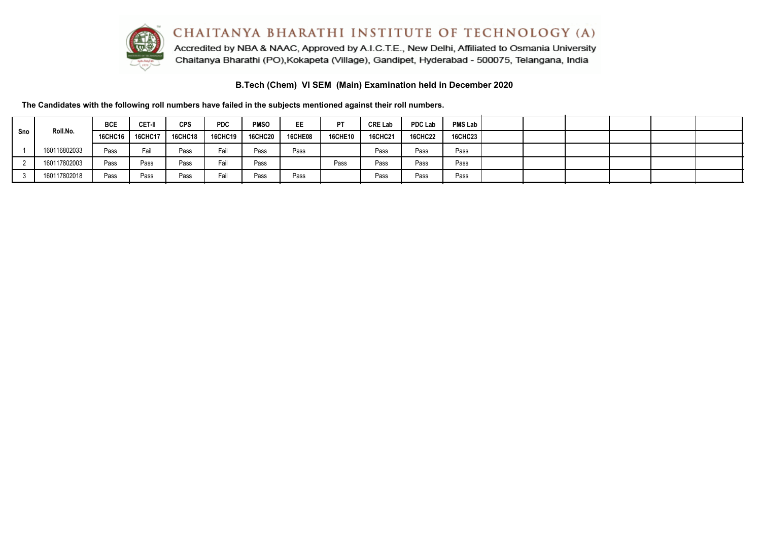

Accredited by NBA & NAAC, Approved by A.I.C.T.E., New Delhi, Affiliated to Osmania University Chaitanya Bharathi (PO), Kokapeta (Village), Gandipet, Hyderabad - 500075, Telangana, India

**B.Tech (Chem) VI SEM (Main) Examination held in December 2020**

|     |              | <b>BCE</b> | CET-II         | <b>CPS</b>     | <b>PDC</b>     | <b>PMSO</b>    | EE             | PT             | <b>CRE Lab</b> | <b>PDC Lab</b> | <b>PMS Lab</b> |  |  |  |
|-----|--------------|------------|----------------|----------------|----------------|----------------|----------------|----------------|----------------|----------------|----------------|--|--|--|
| Sno | Roll.No.     | 16CHC16    | <b>16CHC17</b> | <b>16CHC18</b> | <b>16CHC19</b> | <b>16CHC20</b> | <b>16CHE08</b> | <b>16CHE10</b> | <b>16CHC21</b> | <b>16CHC22</b> | <b>16CHC23</b> |  |  |  |
|     | 160116802033 | Pass       | Fail           | Pass           | Fail           | Pass           | Pass           |                | Pass           | Pass           | Pass           |  |  |  |
|     | 160117802003 | Pass       | Pass           | Pass           | Fail           | Pass           |                | Pass           | Pass           | Pass           | Pass           |  |  |  |
|     | 160117802018 | Pass       | Pass           | Pass           | Fail           | Pass           | Pass           |                | Pass           | Pass           | Pass           |  |  |  |